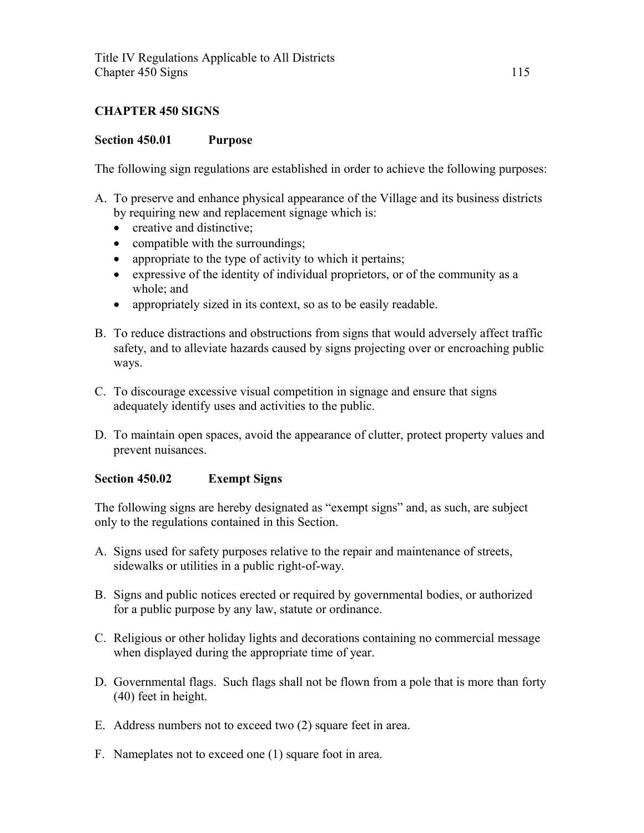## **CHAPTER 450 SIGNS**

### **Section 450.01 Purpose**

The following sign regulations are established in order to achieve the following purposes:

- A. To preserve and enhance physical appearance of the Village and its business districts by requiring new and replacement signage which is:
	- creative and distinctive:
	- compatible with the surroundings;
	- appropriate to the type of activity to which it pertains;
	- expressive of the identity of individual proprietors, or of the community as a whole; and
	- appropriately sized in its context, so as to be easily readable.
- B. To reduce distractions and obstructions from signs that would adversely affect traffic safety, and to alleviate hazards caused by signs projecting over or encroaching public ways.
- C. To discourage excessive visual competition in signage and ensure that signs adequately identify uses and activities to the public.
- D. To maintain open spaces, avoid the appearance of clutter, protect property values and prevent nuisances.

## **Section 450.02 Exempt Signs**

The following signs are hereby designated as "exempt signs" and, as such, are subject only to the regulations contained in this Section.

- A. Signs used for safety purposes relative to the repair and maintenance of streets, sidewalks or utilities in a public right-of-way.
- B. Signs and public notices erected or required by governmental bodies, or authorized for a public purpose by any law, statute or ordinance.
- C. Religious or other holiday lights and decorations containing no commercial message when displayed during the appropriate time of year.
- D. Governmental flags. Such flags shall not be flown from a pole that is more than forty (40) feet in height.
- E. Address numbers not to exceed two (2) square feet in area.
- F. Nameplates not to exceed one (1) square foot in area.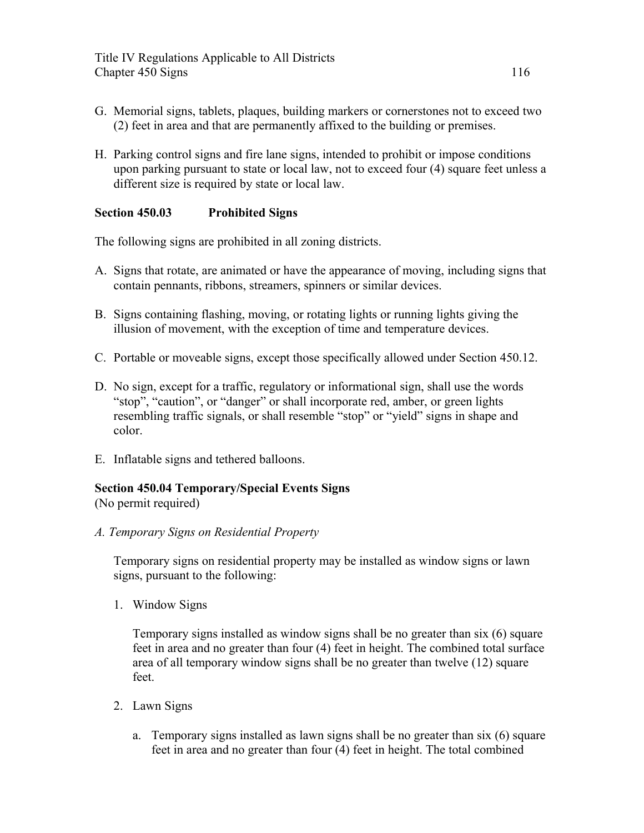- G. Memorial signs, tablets, plaques, building markers or cornerstones not to exceed two (2) feet in area and that are permanently affixed to the building or premises.
- H. Parking control signs and fire lane signs, intended to prohibit or impose conditions upon parking pursuant to state or local law, not to exceed four (4) square feet unless a different size is required by state or local law.

## **Section 450.03 Prohibited Signs**

The following signs are prohibited in all zoning districts.

- A. Signs that rotate, are animated or have the appearance of moving, including signs that contain pennants, ribbons, streamers, spinners or similar devices.
- B. Signs containing flashing, moving, or rotating lights or running lights giving the illusion of movement, with the exception of time and temperature devices.
- C. Portable or moveable signs, except those specifically allowed under Section 450.12.
- D. No sign, except for a traffic, regulatory or informational sign, shall use the words "stop", "caution", or "danger" or shall incorporate red, amber, or green lights resembling traffic signals, or shall resemble "stop" or "yield" signs in shape and color.
- E. Inflatable signs and tethered balloons.

## **Section 450.04 Temporary/Special Events Signs**

(No permit required)

*A. Temporary Signs on Residential Property* 

Temporary signs on residential property may be installed as window signs or lawn signs, pursuant to the following:

1. Window Signs

Temporary signs installed as window signs shall be no greater than six (6) square feet in area and no greater than four (4) feet in height. The combined total surface area of all temporary window signs shall be no greater than twelve (12) square feet.

- 2. Lawn Signs
	- a. Temporary signs installed as lawn signs shall be no greater than six (6) square feet in area and no greater than four (4) feet in height. The total combined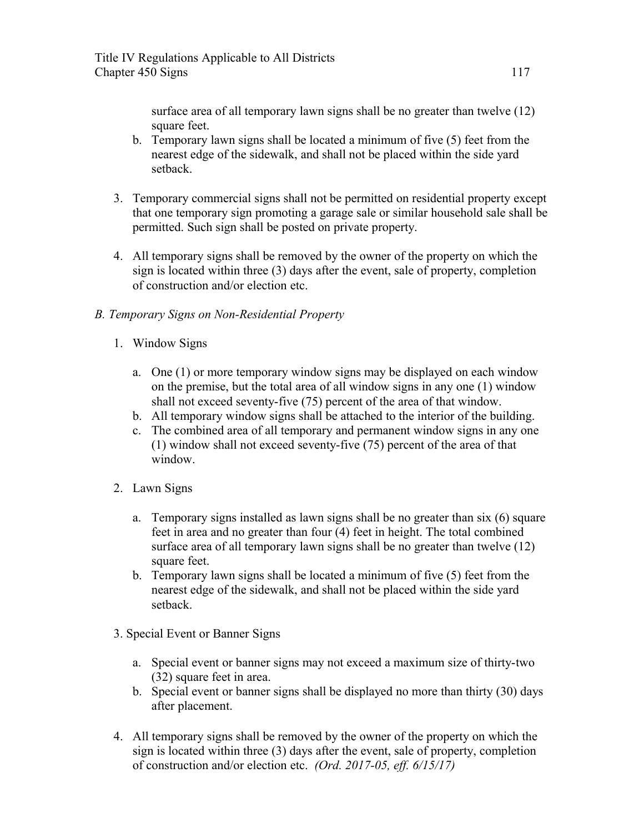surface area of all temporary lawn signs shall be no greater than twelve (12) square feet.

- b. Temporary lawn signs shall be located a minimum of five (5) feet from the nearest edge of the sidewalk, and shall not be placed within the side yard setback.
- 3. Temporary commercial signs shall not be permitted on residential property except that one temporary sign promoting a garage sale or similar household sale shall be permitted. Such sign shall be posted on private property.
- 4. All temporary signs shall be removed by the owner of the property on which the sign is located within three (3) days after the event, sale of property, completion of construction and/or election etc.

# *B. Temporary Signs on Non-Residential Property*

- 1. Window Signs
	- a. One (1) or more temporary window signs may be displayed on each window on the premise, but the total area of all window signs in any one (1) window shall not exceed seventy-five (75) percent of the area of that window.
	- b. All temporary window signs shall be attached to the interior of the building.
	- c. The combined area of all temporary and permanent window signs in any one (1) window shall not exceed seventy-five (75) percent of the area of that window.
- 2. Lawn Signs
	- a. Temporary signs installed as lawn signs shall be no greater than six (6) square feet in area and no greater than four (4) feet in height. The total combined surface area of all temporary lawn signs shall be no greater than twelve (12) square feet.
	- b. Temporary lawn signs shall be located a minimum of five (5) feet from the nearest edge of the sidewalk, and shall not be placed within the side yard setback.
- 3. Special Event or Banner Signs
	- a. Special event or banner signs may not exceed a maximum size of thirty-two (32) square feet in area.
	- b. Special event or banner signs shall be displayed no more than thirty (30) days after placement.
- 4. All temporary signs shall be removed by the owner of the property on which the sign is located within three (3) days after the event, sale of property, completion of construction and/or election etc. *(Ord. 2017-05, eff. 6/15/17)*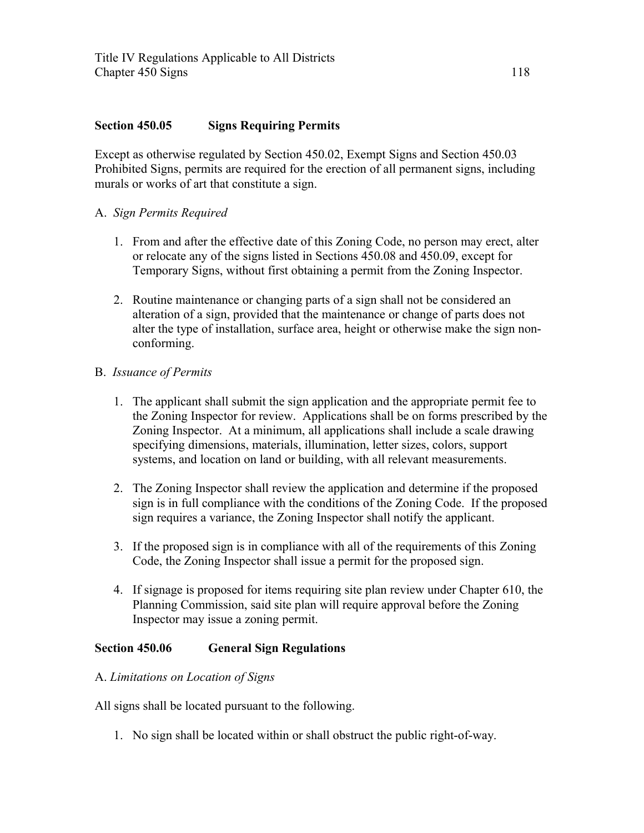### **Section 450.05 Signs Requiring Permits**

Except as otherwise regulated by Section 450.02, Exempt Signs and Section 450.03 Prohibited Signs, permits are required for the erection of all permanent signs, including murals or works of art that constitute a sign.

### A. *Sign Permits Required*

- 1. From and after the effective date of this Zoning Code, no person may erect, alter or relocate any of the signs listed in Sections 450.08 and 450.09, except for Temporary Signs, without first obtaining a permit from the Zoning Inspector.
- 2. Routine maintenance or changing parts of a sign shall not be considered an alteration of a sign, provided that the maintenance or change of parts does not alter the type of installation, surface area, height or otherwise make the sign nonconforming.

### B. *Issuance of Permits*

- 1. The applicant shall submit the sign application and the appropriate permit fee to the Zoning Inspector for review. Applications shall be on forms prescribed by the Zoning Inspector. At a minimum, all applications shall include a scale drawing specifying dimensions, materials, illumination, letter sizes, colors, support systems, and location on land or building, with all relevant measurements.
- 2. The Zoning Inspector shall review the application and determine if the proposed sign is in full compliance with the conditions of the Zoning Code. If the proposed sign requires a variance, the Zoning Inspector shall notify the applicant.
- 3. If the proposed sign is in compliance with all of the requirements of this Zoning Code, the Zoning Inspector shall issue a permit for the proposed sign.
- 4. If signage is proposed for items requiring site plan review under Chapter 610, the Planning Commission, said site plan will require approval before the Zoning Inspector may issue a zoning permit.

## **Section 450.06 General Sign Regulations**

### A. *Limitations on Location of Signs*

All signs shall be located pursuant to the following.

1. No sign shall be located within or shall obstruct the public right-of-way.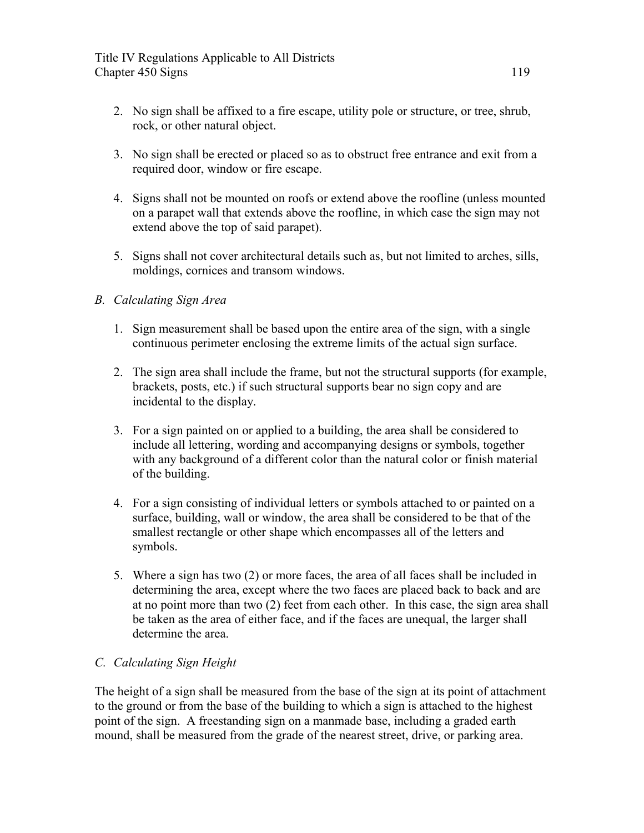- 2. No sign shall be affixed to a fire escape, utility pole or structure, or tree, shrub, rock, or other natural object.
- 3. No sign shall be erected or placed so as to obstruct free entrance and exit from a required door, window or fire escape.
- 4. Signs shall not be mounted on roofs or extend above the roofline (unless mounted on a parapet wall that extends above the roofline, in which case the sign may not extend above the top of said parapet).
- 5. Signs shall not cover architectural details such as, but not limited to arches, sills, moldings, cornices and transom windows.

## *B. Calculating Sign Area*

- 1. Sign measurement shall be based upon the entire area of the sign, with a single continuous perimeter enclosing the extreme limits of the actual sign surface.
- 2. The sign area shall include the frame, but not the structural supports (for example, brackets, posts, etc.) if such structural supports bear no sign copy and are incidental to the display.
- 3. For a sign painted on or applied to a building, the area shall be considered to include all lettering, wording and accompanying designs or symbols, together with any background of a different color than the natural color or finish material of the building.
- 4. For a sign consisting of individual letters or symbols attached to or painted on a surface, building, wall or window, the area shall be considered to be that of the smallest rectangle or other shape which encompasses all of the letters and symbols.
- 5. Where a sign has two (2) or more faces, the area of all faces shall be included in determining the area, except where the two faces are placed back to back and are at no point more than two (2) feet from each other. In this case, the sign area shall be taken as the area of either face, and if the faces are unequal, the larger shall determine the area.

## *C. Calculating Sign Height*

The height of a sign shall be measured from the base of the sign at its point of attachment to the ground or from the base of the building to which a sign is attached to the highest point of the sign. A freestanding sign on a manmade base, including a graded earth mound, shall be measured from the grade of the nearest street, drive, or parking area.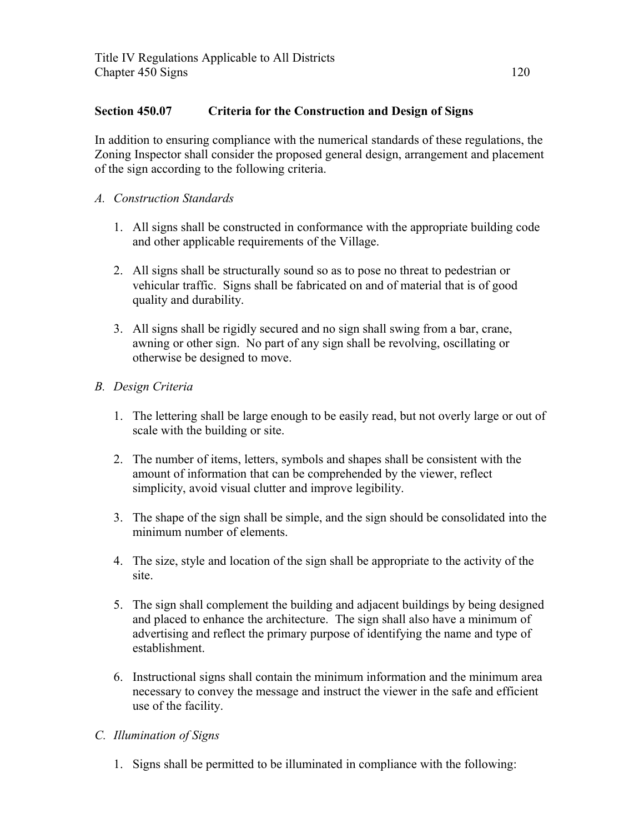## **Section 450.07 Criteria for the Construction and Design of Signs**

In addition to ensuring compliance with the numerical standards of these regulations, the Zoning Inspector shall consider the proposed general design, arrangement and placement of the sign according to the following criteria.

- *A. Construction Standards*
	- 1. All signs shall be constructed in conformance with the appropriate building code and other applicable requirements of the Village.
	- 2. All signs shall be structurally sound so as to pose no threat to pedestrian or vehicular traffic. Signs shall be fabricated on and of material that is of good quality and durability.
	- 3. All signs shall be rigidly secured and no sign shall swing from a bar, crane, awning or other sign. No part of any sign shall be revolving, oscillating or otherwise be designed to move.
- *B. Design Criteria*
	- 1. The lettering shall be large enough to be easily read, but not overly large or out of scale with the building or site.
	- 2. The number of items, letters, symbols and shapes shall be consistent with the amount of information that can be comprehended by the viewer, reflect simplicity, avoid visual clutter and improve legibility.
	- 3. The shape of the sign shall be simple, and the sign should be consolidated into the minimum number of elements.
	- 4. The size, style and location of the sign shall be appropriate to the activity of the site.
	- 5. The sign shall complement the building and adjacent buildings by being designed and placed to enhance the architecture. The sign shall also have a minimum of advertising and reflect the primary purpose of identifying the name and type of establishment.
	- 6. Instructional signs shall contain the minimum information and the minimum area necessary to convey the message and instruct the viewer in the safe and efficient use of the facility.
- *C. Illumination of Signs*
	- 1. Signs shall be permitted to be illuminated in compliance with the following: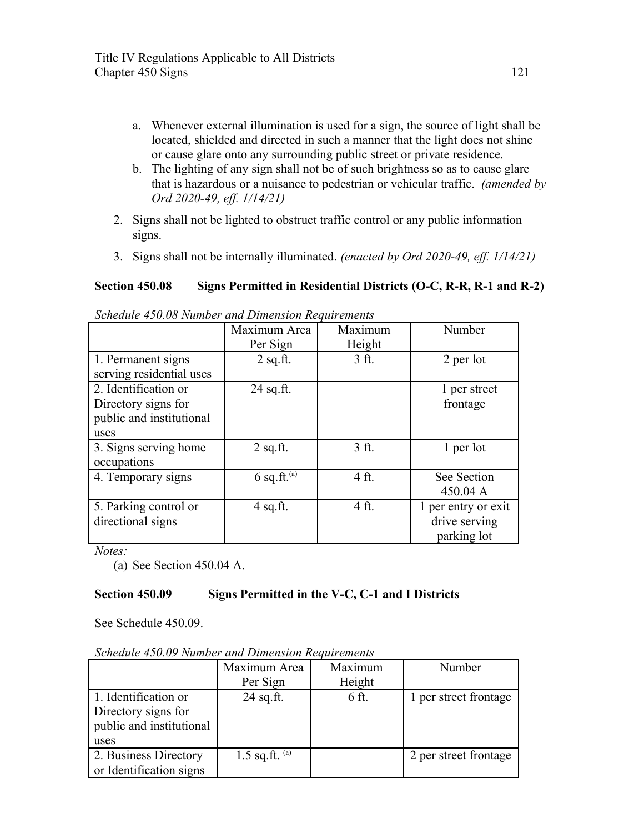- a. Whenever external illumination is used for a sign, the source of light shall be located, shielded and directed in such a manner that the light does not shine or cause glare onto any surrounding public street or private residence.
- b. The lighting of any sign shall not be of such brightness so as to cause glare that is hazardous or a nuisance to pedestrian or vehicular traffic. *(amended by Ord 2020-49, eff. 1/14/21)*
- 2. Signs shall not be lighted to obstruct traffic control or any public information signs.
- 3. Signs shall not be internally illuminated. *(enacted by Ord 2020-49, eff. 1/14/21)*

# **Section 450.08 Signs Permitted in Residential Districts (O-C, R-R, R-1 and R-2)**

|                          | Maximum Area     | Maximum         | Number              |
|--------------------------|------------------|-----------------|---------------------|
|                          | Per Sign         | Height          |                     |
| 1. Permanent signs       | $2$ sq.ft.       | $3$ ft.         | 2 per lot           |
| serving residential uses |                  |                 |                     |
| 2. Identification or     | $24$ sq.ft.      |                 | 1 per street        |
| Directory signs for      |                  |                 | frontage            |
| public and institutional |                  |                 |                     |
| uses                     |                  |                 |                     |
| 3. Signs serving home    | $2$ sq.ft.       | 3 <sub>ft</sub> | 1 per lot           |
| occupations              |                  |                 |                     |
| 4. Temporary signs       | $6$ sq.ft. $(a)$ | 4 ft.           | See Section         |
|                          |                  |                 | 450.04 A            |
| 5. Parking control or    | $4$ sq.ft.       | 4 ft.           | 1 per entry or exit |
| directional signs        |                  |                 | drive serving       |
|                          |                  |                 | parking lot         |

*Schedule 450.08 Number and Dimension Requirements*

*Notes:*

(a) See Section 450.04 A.

## **Section 450.09 Signs Permitted in the V-C, C-1 and I Districts**

See Schedule 450.09.

| Schedule 450.09 Number and Dimension Requirements |  |  |
|---------------------------------------------------|--|--|
|                                                   |  |  |

|                                                                                 | Maximum Area<br>Per Sign | Maximum<br>Height | Number                |
|---------------------------------------------------------------------------------|--------------------------|-------------------|-----------------------|
| 1. Identification or<br>Directory signs for<br>public and institutional<br>uses | $24$ sq.ft.              | 6 ft.             | 1 per street frontage |
| 2. Business Directory<br>or Identification signs                                | 1.5 sq.ft. $(a)$         |                   | 2 per street frontage |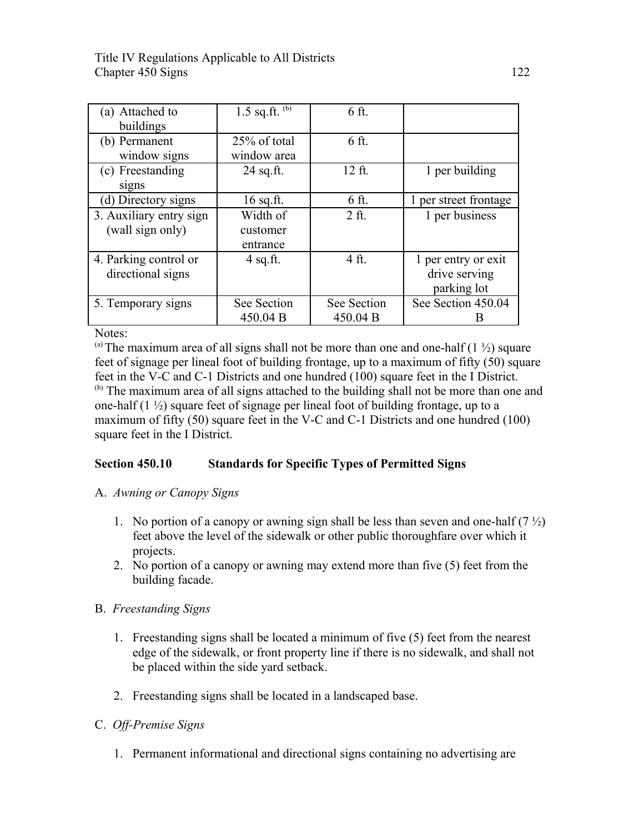| (a) Attached to         | 1.5 sq.ft. $(b)$ | 6 ft.       |                       |
|-------------------------|------------------|-------------|-----------------------|
| buildings               |                  |             |                       |
| (b) Permanent           | 25% of total     | 6 ft.       |                       |
| window signs            | window area      |             |                       |
| (c) Freestanding        | $24$ sq.ft.      | 12 ft.      | 1 per building        |
| signs                   |                  |             |                       |
| (d) Directory signs     | $16$ sq.ft.      | 6 ft.       | 1 per street frontage |
| 3. Auxiliary entry sign | Width of         | $2$ ft.     | 1 per business        |
| (wall sign only)        | customer         |             |                       |
|                         | entrance         |             |                       |
| 4. Parking control or   | $4$ sq.ft.       | 4 ft.       | 1 per entry or exit   |
| directional signs       |                  |             | drive serving         |
|                         |                  |             | parking lot           |
| 5. Temporary signs      | See Section      | See Section | See Section 450.04    |
|                         | 450.04 B         | 450.04 B    |                       |

Notes:

(a) The maximum area of all signs shall not be more than one and one-half  $(1 \frac{1}{2})$  square feet of signage per lineal foot of building frontage, up to a maximum of fifty (50) square feet in the V-C and C-1 Districts and one hundred (100) square feet in the I District. <sup>(b)</sup> The maximum area of all signs attached to the building shall not be more than one and one-half  $(1 \frac{1}{2})$  square feet of signage per lineal foot of building frontage, up to a maximum of fifty (50) square feet in the V-C and C-1 Districts and one hundred (100) square feet in the I District.

## **Section 450.10 Standards for Specific Types of Permitted Signs**

- A. *Awning or Canopy Signs*
	- 1. No portion of a canopy or awning sign shall be less than seven and one-half  $(7 \frac{1}{2})$ feet above the level of the sidewalk or other public thoroughfare over which it projects.
	- 2. No portion of a canopy or awning may extend more than five (5) feet from the building facade.

### B. *Freestanding Signs*

- 1. Freestanding signs shall be located a minimum of five (5) feet from the nearest edge of the sidewalk, or front property line if there is no sidewalk, and shall not be placed within the side yard setback.
- 2. Freestanding signs shall be located in a landscaped base.

## C. *Off-Premise Signs*

1. Permanent informational and directional signs containing no advertising are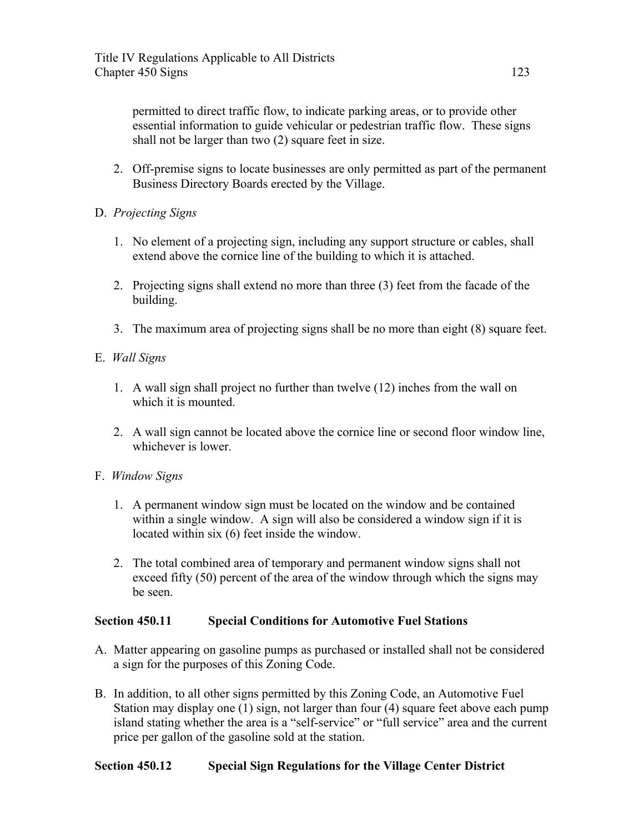permitted to direct traffic flow, to indicate parking areas, or to provide other essential information to guide vehicular or pedestrian traffic flow. These signs shall not be larger than two (2) square feet in size.

- 2. Off-premise signs to locate businesses are only permitted as part of the permanent Business Directory Boards erected by the Village.
- D. *Projecting Signs*
	- 1. No element of a projecting sign, including any support structure or cables, shall extend above the cornice line of the building to which it is attached.
	- 2. Projecting signs shall extend no more than three (3) feet from the facade of the building.
	- 3. The maximum area of projecting signs shall be no more than eight (8) square feet.
- E. *Wall Signs*
	- 1. A wall sign shall project no further than twelve (12) inches from the wall on which it is mounted.
	- 2. A wall sign cannot be located above the cornice line or second floor window line, whichever is lower.
- F. *Window Signs*
	- 1. A permanent window sign must be located on the window and be contained within a single window. A sign will also be considered a window sign if it is located within six (6) feet inside the window.
	- 2. The total combined area of temporary and permanent window signs shall not exceed fifty (50) percent of the area of the window through which the signs may be seen.

## **Section 450.11 Special Conditions for Automotive Fuel Stations**

- A. Matter appearing on gasoline pumps as purchased or installed shall not be considered a sign for the purposes of this Zoning Code.
- B. In addition, to all other signs permitted by this Zoning Code, an Automotive Fuel Station may display one (1) sign, not larger than four (4) square feet above each pump island stating whether the area is a "self-service" or "full service" area and the current price per gallon of the gasoline sold at the station.

## **Section 450.12 Special Sign Regulations for the Village Center District**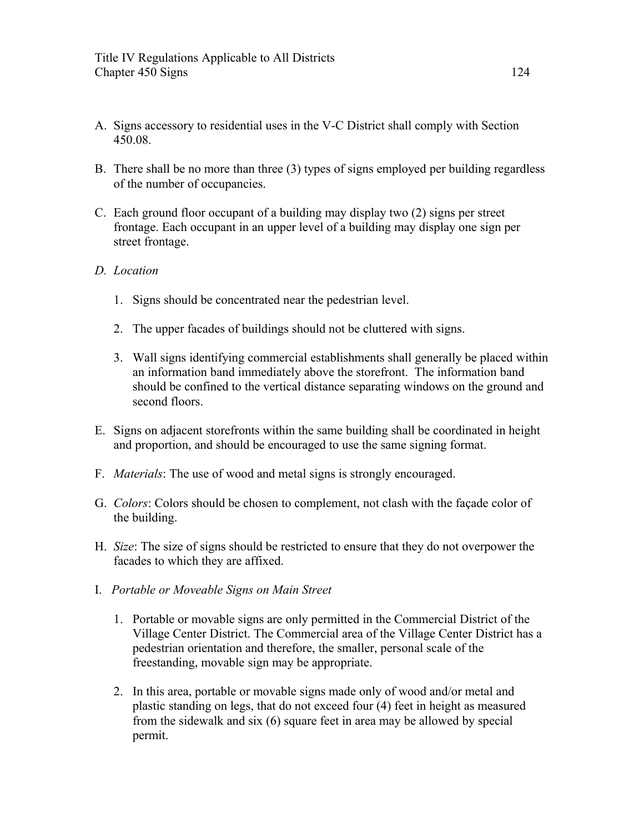- A. Signs accessory to residential uses in the V-C District shall comply with Section 450.08.
- B. There shall be no more than three (3) types of signs employed per building regardless of the number of occupancies.
- C. Each ground floor occupant of a building may display two (2) signs per street frontage. Each occupant in an upper level of a building may display one sign per street frontage.

### *D. Location*

- 1. Signs should be concentrated near the pedestrian level.
- 2. The upper facades of buildings should not be cluttered with signs.
- 3. Wall signs identifying commercial establishments shall generally be placed within an information band immediately above the storefront. The information band should be confined to the vertical distance separating windows on the ground and second floors.
- E. Signs on adjacent storefronts within the same building shall be coordinated in height and proportion, and should be encouraged to use the same signing format.
- F. *Materials*: The use of wood and metal signs is strongly encouraged.
- G. *Colors*: Colors should be chosen to complement, not clash with the façade color of the building.
- H. *Size*: The size of signs should be restricted to ensure that they do not overpower the facades to which they are affixed.
- I. *Portable or Moveable Signs on Main Street* 
	- 1. Portable or movable signs are only permitted in the Commercial District of the Village Center District. The Commercial area of the Village Center District has a pedestrian orientation and therefore, the smaller, personal scale of the freestanding, movable sign may be appropriate.
	- 2. In this area, portable or movable signs made only of wood and/or metal and plastic standing on legs, that do not exceed four (4) feet in height as measured from the sidewalk and six (6) square feet in area may be allowed by special permit.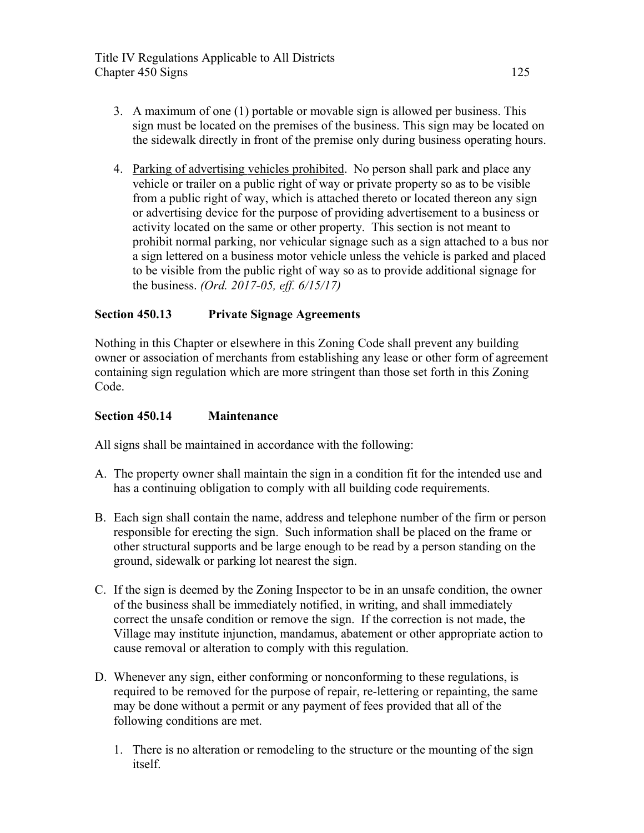- 3. A maximum of one (1) portable or movable sign is allowed per business. This sign must be located on the premises of the business. This sign may be located on the sidewalk directly in front of the premise only during business operating hours.
- 4. Parking of advertising vehicles prohibited. No person shall park and place any vehicle or trailer on a public right of way or private property so as to be visible from a public right of way, which is attached thereto or located thereon any sign or advertising device for the purpose of providing advertisement to a business or activity located on the same or other property. This section is not meant to prohibit normal parking, nor vehicular signage such as a sign attached to a bus nor a sign lettered on a business motor vehicle unless the vehicle is parked and placed to be visible from the public right of way so as to provide additional signage for the business. *(Ord. 2017-05, eff. 6/15/17)*

## **Section 450.13 Private Signage Agreements**

Nothing in this Chapter or elsewhere in this Zoning Code shall prevent any building owner or association of merchants from establishing any lease or other form of agreement containing sign regulation which are more stringent than those set forth in this Zoning Code.

### **Section 450.14 Maintenance**

All signs shall be maintained in accordance with the following:

- A. The property owner shall maintain the sign in a condition fit for the intended use and has a continuing obligation to comply with all building code requirements.
- B. Each sign shall contain the name, address and telephone number of the firm or person responsible for erecting the sign. Such information shall be placed on the frame or other structural supports and be large enough to be read by a person standing on the ground, sidewalk or parking lot nearest the sign.
- C. If the sign is deemed by the Zoning Inspector to be in an unsafe condition, the owner of the business shall be immediately notified, in writing, and shall immediately correct the unsafe condition or remove the sign. If the correction is not made, the Village may institute injunction, mandamus, abatement or other appropriate action to cause removal or alteration to comply with this regulation.
- D. Whenever any sign, either conforming or nonconforming to these regulations, is required to be removed for the purpose of repair, re-lettering or repainting, the same may be done without a permit or any payment of fees provided that all of the following conditions are met.
	- 1. There is no alteration or remodeling to the structure or the mounting of the sign itself.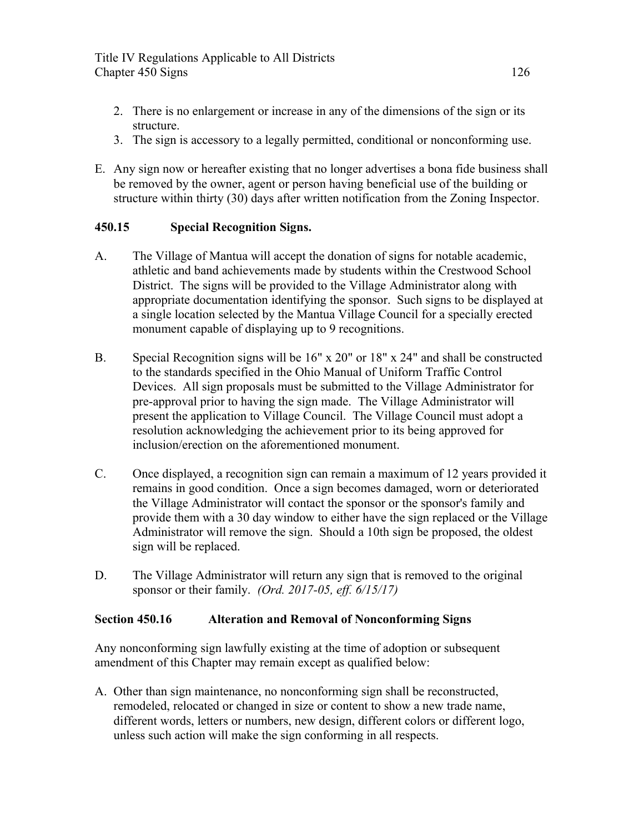- 2. There is no enlargement or increase in any of the dimensions of the sign or its structure.
- 3. The sign is accessory to a legally permitted, conditional or nonconforming use.
- E. Any sign now or hereafter existing that no longer advertises a bona fide business shall be removed by the owner, agent or person having beneficial use of the building or structure within thirty (30) days after written notification from the Zoning Inspector.

## **450.15 Special Recognition Signs.**

- A. The Village of Mantua will accept the donation of signs for notable academic, athletic and band achievements made by students within the Crestwood School District. The signs will be provided to the Village Administrator along with appropriate documentation identifying the sponsor. Such signs to be displayed at a single location selected by the Mantua Village Council for a specially erected monument capable of displaying up to 9 recognitions.
- B. Special Recognition signs will be 16" x 20" or 18" x 24" and shall be constructed to the standards specified in the Ohio Manual of Uniform Traffic Control Devices. All sign proposals must be submitted to the Village Administrator for pre-approval prior to having the sign made. The Village Administrator will present the application to Village Council. The Village Council must adopt a resolution acknowledging the achievement prior to its being approved for inclusion/erection on the aforementioned monument.
- C. Once displayed, a recognition sign can remain a maximum of 12 years provided it remains in good condition. Once a sign becomes damaged, worn or deteriorated the Village Administrator will contact the sponsor or the sponsor's family and provide them with a 30 day window to either have the sign replaced or the Village Administrator will remove the sign. Should a 10th sign be proposed, the oldest sign will be replaced.
- D. The Village Administrator will return any sign that is removed to the original sponsor or their family. *(Ord. 2017-05, eff. 6/15/17)*

### **Section 450.16 Alteration and Removal of Nonconforming Signs**

Any nonconforming sign lawfully existing at the time of adoption or subsequent amendment of this Chapter may remain except as qualified below:

A. Other than sign maintenance, no nonconforming sign shall be reconstructed, remodeled, relocated or changed in size or content to show a new trade name, different words, letters or numbers, new design, different colors or different logo, unless such action will make the sign conforming in all respects.